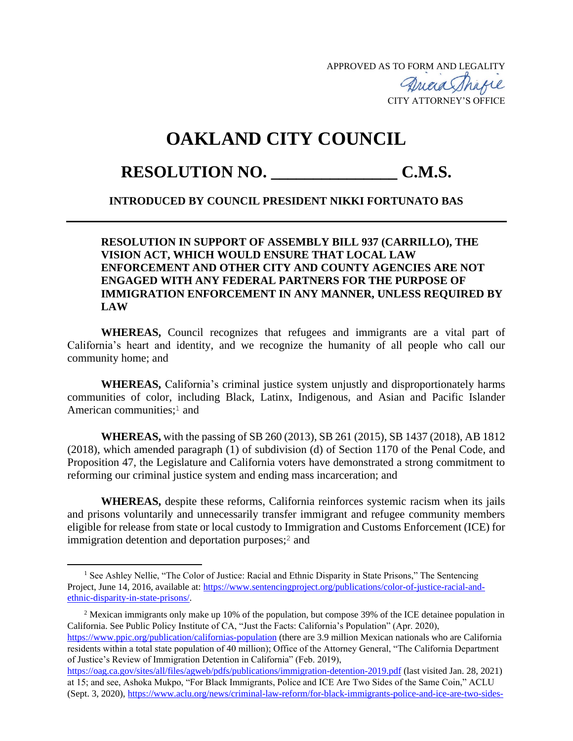APPROVED AS TO FORM AND LEGALITY

CITY ATTORNEY'S OFFICE

## **OAKLAND CITY COUNCIL**

## **RESOLUTION NO. \_\_\_\_\_\_\_\_\_\_\_\_\_\_\_ C.M.S.**

## **INTRODUCED BY COUNCIL PRESIDENT NIKKI FORTUNATO BAS**

## **RESOLUTION IN SUPPORT OF ASSEMBLY BILL 937 (CARRILLO), THE VISION ACT, WHICH WOULD ENSURE THAT LOCAL LAW ENFORCEMENT AND OTHER CITY AND COUNTY AGENCIES ARE NOT ENGAGED WITH ANY FEDERAL PARTNERS FOR THE PURPOSE OF IMMIGRATION ENFORCEMENT IN ANY MANNER, UNLESS REQUIRED BY LAW**

**WHEREAS,** Council recognizes that refugees and immigrants are a vital part of California's heart and identity, and we recognize the humanity of all people who call our community home; and

**WHEREAS,** California's criminal justice system unjustly and disproportionately harms communities of color, including Black, Latinx, Indigenous, and Asian and Pacific Islander American communities; <sup>1</sup> and

**WHEREAS,** with the passing of SB 260 (2013), SB 261 (2015), SB 1437 (2018), AB 1812 (2018), which amended paragraph (1) of subdivision (d) of Section 1170 of the Penal Code, and Proposition 47, the Legislature and California voters have demonstrated a strong commitment to reforming our criminal justice system and ending mass incarceration; and

**WHEREAS,** despite these reforms, California reinforces systemic racism when its jails and prisons voluntarily and unnecessarily transfer immigrant and refugee community members eligible for release from state or local custody to Immigration and Customs Enforcement (ICE) for immigration detention and deportation purposes;<sup>2</sup> and

<sup>2</sup> Mexican immigrants only make up 10% of the population, but compose 39% of the ICE detainee population in California. See Public Policy Institute of CA, "Just the Facts: California's Population" (Apr. 2020), <https://www.ppic.org/publication/californias-population> (there are 3.9 million Mexican nationals who are California residents within a total state population of 40 million); Office of the Attorney General, "The California Department

of Justice's Review of Immigration Detention in California" (Feb. 2019),

<sup>&</sup>lt;sup>1</sup> See Ashley Nellie, "The Color of Justice: Racial and Ethnic Disparity in State Prisons," The Sentencing Project, June 14, 2016, available at: [https://www.sentencingproject.org/publications/color-of-justice-racial-and](https://www.sentencingproject.org/publications/color-of-justice-racial-and-ethnic-disparity-in-state-prisons/)[ethnic-disparity-in-state-prisons/.](https://www.sentencingproject.org/publications/color-of-justice-racial-and-ethnic-disparity-in-state-prisons/)

<https://oag.ca.gov/sites/all/files/agweb/pdfs/publications/immigration-detention-2019.pdf> (last visited Jan. 28, 2021) at 15; and see, Ashoka Mukpo, "For Black Immigrants, Police and ICE Are Two Sides of the Same Coin," ACLU (Sept. 3, 2020), [https://www.aclu.org/news/criminal-law-reform/for-black-immigrants-police-and-ice-are-two-sides-](https://www.aclu.org/news/criminal-law-reform/for-black-immigrants-police-and-ice-are-two-sides-of-the-same-coin)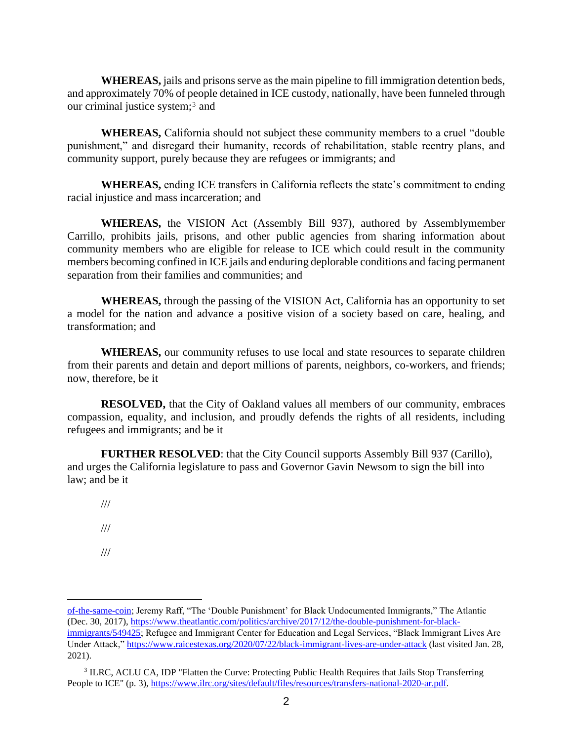**WHEREAS,** jails and prisons serve as the main pipeline to fill immigration detention beds, and approximately 70% of people detained in ICE custody, nationally, have been funneled through our criminal justice system;<sup>3</sup> and

**WHEREAS,** California should not subject these community members to a cruel "double punishment," and disregard their humanity, records of rehabilitation, stable reentry plans, and community support, purely because they are refugees or immigrants; and

**WHEREAS,** ending ICE transfers in California reflects the state's commitment to ending racial injustice and mass incarceration; and

**WHEREAS,** the VISION Act (Assembly Bill 937), authored by Assemblymember Carrillo, prohibits jails, prisons, and other public agencies from sharing information about community members who are eligible for release to ICE which could result in the community members becoming confined in ICE jails and enduring deplorable conditions and facing permanent separation from their families and communities; and

**WHEREAS,** through the passing of the VISION Act, California has an opportunity to set a model for the nation and advance a positive vision of a society based on care, healing, and transformation; and

**WHEREAS,** our community refuses to use local and state resources to separate children from their parents and detain and deport millions of parents, neighbors, co-workers, and friends; now, therefore, be it

**RESOLVED,** that the City of Oakland values all members of our community, embraces compassion, equality, and inclusion, and proudly defends the rights of all residents, including refugees and immigrants; and be it

**FURTHER RESOLVED**: that the City Council supports Assembly Bill 937 (Carillo), and urges the California legislature to pass and Governor Gavin Newsom to sign the bill into law; and be it

- ///
- ///
- ///

[of-the-same-coin;](https://www.aclu.org/news/criminal-law-reform/for-black-immigrants-police-and-ice-are-two-sides-of-the-same-coin) Jeremy Raff, "The 'Double Punishment' for Black Undocumented Immigrants," The Atlantic (Dec. 30, 2017), [https://www.theatlantic.com/politics/archive/2017/12/the-double-punishment-for-black](https://www.theatlantic.com/politics/archive/2017/12/the-double-punishment-for-black-immigrants/549425)[immigrants/549425;](https://www.theatlantic.com/politics/archive/2017/12/the-double-punishment-for-black-immigrants/549425) Refugee and Immigrant Center for Education and Legal Services, "Black Immigrant Lives Are Under Attack,[" https://www.raicestexas.org/2020/07/22/black-immigrant-lives-are-under-attack](https://www.raicestexas.org/2020/07/22/black-immigrant-lives-are-under-attack) (last visited Jan. 28, 2021).

<sup>&</sup>lt;sup>3</sup> ILRC, ACLU CA, IDP "Flatten the Curve: Protecting Public Health Requires that Jails Stop Transferring People to ICE" (p. 3), [https://www.ilrc.org/sites/default/files/resources/transfers-national-2020-ar.pdf.](https://www.ilrc.org/sites/default/files/resources/transfers-national-2020-ar.pdf)